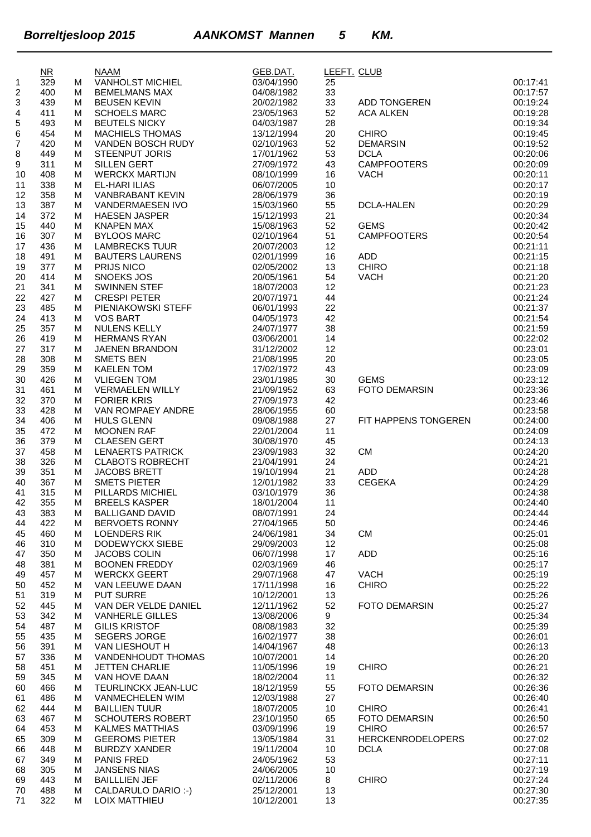|                | $\overline{\text{NR}}$ |        | <b>NAAM</b>                                    | GEB.DAT.                 | LEEFT. CLUB |                          |                      |
|----------------|------------------------|--------|------------------------------------------------|--------------------------|-------------|--------------------------|----------------------|
| 1              | 329                    | M      | VANHOLST MICHIEL                               | 03/04/1990               | 25          |                          | 00:17:41             |
| $\overline{c}$ | 400                    | м      | <b>BEMELMANS MAX</b>                           | 04/08/1982               | 33          |                          | 00:17:57             |
| 3              | 439                    | м      | <b>BEUSEN KEVIN</b>                            | 20/02/1982               | 33          | ADD TONGEREN             | 00:19:24             |
| 4<br>5         | 411<br>493             | м<br>M | <b>SCHOELS MARC</b><br><b>BEUTELS NICKY</b>    | 23/05/1963<br>04/03/1987 | 52<br>28    | <b>ACA ALKEN</b>         | 00:19:28<br>00:19:34 |
| 6              | 454                    | м      | <b>MACHIELS THOMAS</b>                         | 13/12/1994               | 20          | <b>CHIRO</b>             | 00:19:45             |
| 7              | 420                    | м      | VANDEN BOSCH RUDY                              | 02/10/1963               | 52          | <b>DEMARSIN</b>          | 00:19:52             |
| 8              | 449                    | м      | <b>STEENPUT JORIS</b>                          | 17/01/1962               | 53          | <b>DCLA</b>              | 00:20:06             |
| 9              | 311                    | м      | SILLEN GERT                                    | 27/09/1972               | 43          | <b>CAMPFOOTERS</b>       | 00:20:09             |
| 10             | 408                    | м      | <b>WERCKX MARTIJN</b>                          | 08/10/1999               | 16          | <b>VACH</b>              | 00:20:11             |
| 11             | 338                    | м      | <b>EL-HARI ILIAS</b>                           | 06/07/2005               | 10          |                          | 00:20:17             |
| 12             | 358                    | м      | VANBRABANT KEVIN                               | 28/06/1979               | 36          |                          | 00:20:19             |
| 13             | 387                    | м      | VANDERMAESEN IVO                               | 15/03/1960               | 55          | <b>DCLA-HALEN</b>        | 00:20:29             |
| 14             | 372                    | м      | <b>HAESEN JASPER</b>                           | 15/12/1993               | 21          |                          | 00:20:34             |
| 15             | 440                    | м      | <b>KNAPEN MAX</b>                              | 15/08/1963               | 52          | <b>GEMS</b>              | 00:20:42             |
| 16             | 307                    | м      | <b>BYLOOS MARC</b>                             | 02/10/1964               | 51          | <b>CAMPFOOTERS</b>       | 00:20:54             |
| 17             | 436                    | м      | <b>LAMBRECKS TUUR</b>                          | 20/07/2003               | 12          | <b>ADD</b>               | 00:21:11             |
| 18<br>19       | 491<br>377             | М<br>м | <b>BAUTERS LAURENS</b><br><b>PRIJS NICO</b>    | 02/01/1999<br>02/05/2002 | 16<br>13    | <b>CHIRO</b>             | 00:21:15<br>00:21:18 |
| 20             | 414                    | м      | <b>SNOEKS JOS</b>                              | 20/05/1961               | 54          | <b>VACH</b>              | 00:21:20             |
| 21             | 341                    | M      | <b>SWINNEN STEF</b>                            | 18/07/2003               | 12          |                          | 00:21:23             |
| 22             | 427                    | м      | <b>CRESPI PETER</b>                            | 20/07/1971               | 44          |                          | 00:21:24             |
| 23             | 485                    | м      | PIENIAKOWSKI STEFF                             | 06/01/1993               | 22          |                          | 00:21:37             |
| 24             | 413                    | м      | <b>VOS BART</b>                                | 04/05/1973               | 42          |                          | 00:21:54             |
| 25             | 357                    | м      | NULENS KELLY                                   | 24/07/1977               | 38          |                          | 00:21:59             |
| 26             | 419                    | м      | <b>HERMANS RYAN</b>                            | 03/06/2001               | 14          |                          | 00:22:02             |
| 27             | 317                    | м      | <b>JAENEN BRANDON</b>                          | 31/12/2002               | 12          |                          | 00:23:01             |
| 28             | 308                    | м      | <b>SMETS BEN</b>                               | 21/08/1995               | 20          |                          | 00:23:05             |
| 29             | 359                    | м      | <b>KAELEN TOM</b>                              | 17/02/1972               | 43          |                          | 00:23:09             |
| 30             | 426                    | м      | <b>VLIEGEN TOM</b>                             | 23/01/1985               | 30          | <b>GEMS</b>              | 00:23:12             |
| 31             | 461                    | м      | <b>VERMAELEN WILLY</b>                         | 21/09/1952               | 63          | <b>FOTO DEMARSIN</b>     | 00:23:36             |
| 32             | 370                    | м      | <b>FORIER KRIS</b>                             | 27/09/1973               | 42          |                          | 00:23:46<br>00:23:58 |
| 33<br>34       | 428<br>406             | М<br>м | VAN ROMPAEY ANDRE<br><b>HULS GLENN</b>         | 28/06/1955<br>09/08/1988 | 60<br>27    | FIT HAPPENS TONGEREN     | 00:24:00             |
| 35             | 472                    | м      | <b>MOONEN RAF</b>                              | 22/01/2004               | 11          |                          | 00:24:09             |
| 36             | 379                    | М      | <b>CLAESEN GERT</b>                            | 30/08/1970               | 45          |                          | 00:24:13             |
| 37             | 458                    | м      | <b>LENAERTS PATRICK</b>                        | 23/09/1983               | 32          | <b>CM</b>                | 00:24:20             |
| 38             | 326                    | м      | <b>CLABOTS ROBRECHT</b>                        | 21/04/1991               | 24          |                          | 00:24:21             |
| 39             | 351                    | м      | JACOBS BRETT                                   | 19/10/1994               | 21          | <b>ADD</b>               | 00:24:28             |
| 40             | 367                    | м      | <b>SMETS PIETER</b>                            | 12/01/1982               | 33          | <b>CEGEKA</b>            | 00:24:29             |
| 41             | 315                    | м      | PILLARDS MICHIEL                               | 03/10/1979               | 36          |                          | 00:24:38             |
| 42             | 355                    | м      | <b>BREELS KASPER</b>                           | 18/01/2004               | 11          |                          | 00:24:40             |
| 43             | 383                    | M      | <b>BALLIGAND DAVID</b>                         | 08/07/1991               | 24          |                          | 00:24:44             |
| 44             | 422                    | м      | <b>BERVOETS RONNY</b>                          | 27/04/1965               | 50          |                          | 00:24:46             |
| 45             | 460                    | м      | <b>LOENDERS RIK</b>                            | 24/06/1981               | 34          | CM                       | 00:25:01             |
| 46             | 310<br>350             | м      | DODEWYCKX SIEBE<br><b>JACOBS COLIN</b>         | 29/09/2003<br>06/07/1998 | 12<br>17    | <b>ADD</b>               | 00:25:08<br>00:25:16 |
| 47<br>48       | 381                    | м<br>м | <b>BOONEN FREDDY</b>                           | 02/03/1969               | 46          |                          | 00:25:17             |
| 49             | 457                    | м      | <b>WERCKX GEERT</b>                            | 29/07/1968               | 47          | <b>VACH</b>              | 00:25:19             |
| 50             | 452                    | м      | VAN LEEUWE DAAN                                | 17/11/1998               | 16          | <b>CHIRO</b>             | 00:25:22             |
| 51             | 319                    | м      | <b>PUT SURRE</b>                               | 10/12/2001               | 13          |                          | 00:25:26             |
| 52             | 445                    | м      | VAN DER VELDE DANIEL                           | 12/11/1962               | 52          | <b>FOTO DEMARSIN</b>     | 00:25:27             |
| 53             | 342                    | м      | <b>VANHERLE GILLES</b>                         | 13/08/2006               | 9           |                          | 00:25:34             |
| 54             | 487                    | м      | <b>GILIS KRISTOF</b>                           | 08/08/1983               | 32          |                          | 00:25:39             |
| 55             | 435                    | М      | <b>SEGERS JORGE</b>                            | 16/02/1977               | 38          |                          | 00:26:01             |
| 56             | 391                    | м      | VAN LIESHOUT H                                 | 14/04/1967               | 48          |                          | 00:26:13             |
| 57             | 336                    | м      | VANDENHOUDT THOMAS                             | 10/07/2001               | 14          |                          | 00:26:20             |
| 58             | 451                    | м      | <b>JETTEN CHARLIE</b>                          | 11/05/1996               | 19          | <b>CHIRO</b>             | 00:26:21             |
| 59             | 345                    | м      | VAN HOVE DAAN                                  | 18/02/2004               | 11          |                          | 00:26:32             |
| 60             | 466                    | м      | TEURLINCKX JEAN-LUC                            | 18/12/1959               | 55          | <b>FOTO DEMARSIN</b>     | 00:26:36             |
| 61             | 486<br>444             | м<br>м | <b>VANMECHELEN WIM</b><br><b>BAILLIEN TUUR</b> | 12/03/1988<br>18/07/2005 | 27          | <b>CHIRO</b>             | 00:26:40<br>00:26:41 |
| 62<br>63       | 467                    | м      | <b>SCHOUTERS ROBERT</b>                        | 23/10/1950               | 10<br>65    | <b>FOTO DEMARSIN</b>     | 00:26:50             |
| 64             | 453                    | м      | <b>KALMES MATTHIAS</b>                         | 03/09/1996               | 19          | CHIRO                    | 00:26:57             |
| 65             | 309                    | м      | <b>GEEROMS PIETER</b>                          | 13/05/1984               | 31          | <b>HERCKENRODELOPERS</b> | 00:27:02             |
| 66             | 448                    | м      | <b>BURDZY XANDER</b>                           | 19/11/2004               | 10          | <b>DCLA</b>              | 00:27:08             |
| 67             | 349                    | м      | <b>PANIS FRED</b>                              | 24/05/1962               | 53          |                          | 00:27:11             |
| 68             | 305                    | м      | <b>JANSENS NIAS</b>                            | 24/06/2005               | 10          |                          | 00:27:19             |
| 69             | 443                    | м      | <b>BAILLLIEN JEF</b>                           | 02/11/2006               | 8           | <b>CHIRO</b>             | 00:27:24             |
| 70             | 488                    | м      | CALDARULO DARIO :-)                            | 25/12/2001               | 13          |                          | 00:27:30             |
| 71             | 322                    | м      | LOIX MATTHIEU                                  | 10/12/2001               | 13          |                          | 00:27:35             |